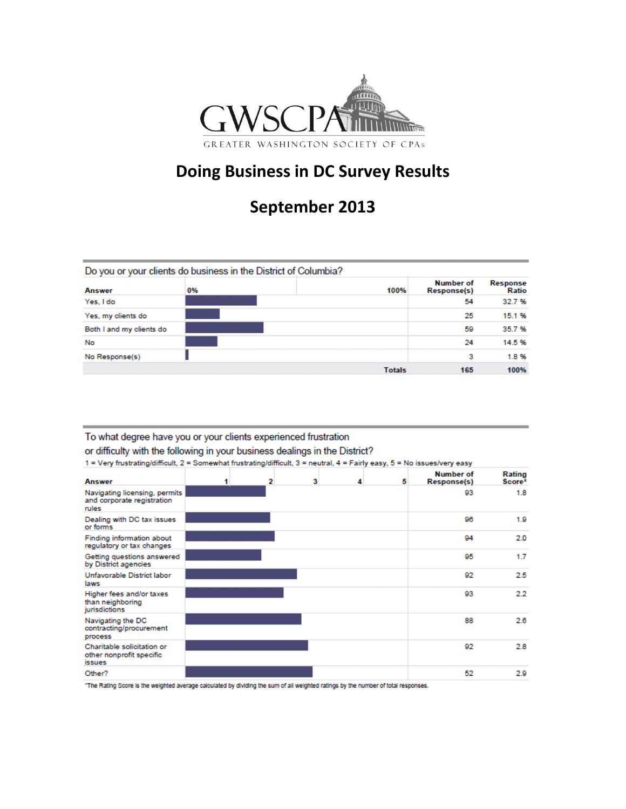

## **Doing Business in DC Survey Results**

# **September 2013**

|                          | Do you or your clients do business in the District of Columbia? |               |                          |                   |
|--------------------------|-----------------------------------------------------------------|---------------|--------------------------|-------------------|
| <b>Answer</b>            | 0%                                                              | 100%          | Number of<br>Response(s) | Response<br>Ratio |
| Yes, I do                |                                                                 |               | 54                       | 32.7%             |
| Yes, my clients do       |                                                                 |               | 25                       | 15.1%             |
| Both I and my clients do |                                                                 |               | 59                       | 35.7%             |
| No                       |                                                                 |               | 24                       | 14.5%             |
| No Response(s)           |                                                                 |               | з                        | 1.8%              |
|                          |                                                                 | <b>Totals</b> | 165                      | 100%              |

### To what degree have you or your clients experienced frustration

or difficulty with the following in your business dealings in the District?

1 = Very frustrating/difficult, 2 = Somewhat frustrating/difficult, 3 = neutral, 4 = Fairly easy, 5 = No issues/very easy

| <b>Answer</b>                                                           | 1 | $\overline{2}$ | 3 | 4<br>5 | <b>Number of</b><br><b>Response(s)</b> | Rating<br>Score* |
|-------------------------------------------------------------------------|---|----------------|---|--------|----------------------------------------|------------------|
| Navigating licensing, permits<br>and corporate registration<br>rules    |   |                |   |        | 93                                     | 1.8              |
| Dealing with DC tax issues<br>or forms                                  |   |                |   |        | 96                                     | 1.9              |
| Finding information about<br>regulatory or tax changes                  |   |                |   |        | 94                                     | 2.0              |
| Getting questions answered<br>by District agencies                      |   |                |   |        | 95                                     | 1.7              |
| Unfavorable District labor<br>laws                                      |   |                |   |        | 92                                     | 2.5              |
| Higher fees and/or taxes<br>than neighboring<br>jurisdictions           |   |                |   |        | 93                                     | 2.2              |
| Navigating the DC<br>contracting/procurement<br>process                 |   |                |   |        | 88                                     | 2.6              |
| Charitable solicitation or<br>other nonprofit specific<br><i>issues</i> |   |                |   |        | 92                                     | 2.8              |
| Other?                                                                  |   |                |   |        | 52                                     | 2.9              |

"The Rating Score is the weighted average calculated by dividing the sum of all weighted ratings by the number of total responses.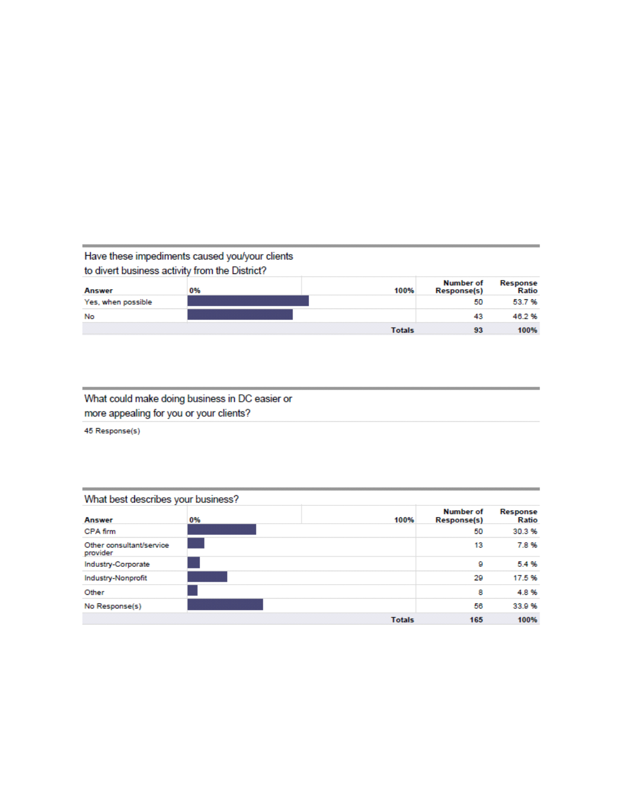### Have these impediments caused you/your clients to divert business activity from the District?

| Answer             | 0% | 100%   | Number of<br><b>Response(s)</b> | Response<br>Ratio |
|--------------------|----|--------|---------------------------------|-------------------|
| Yes, when possible |    |        | 50                              | 53.7%             |
| No                 |    |        | 43                              | 46.2%             |
|                    |    | Totals |                                 | 100%              |

## What could make doing business in DC easier or more appealing for you or your clients?

45 Response(s)

| What best describes your business?   |    |               |                                        |                   |  |
|--------------------------------------|----|---------------|----------------------------------------|-------------------|--|
| <b>Answer</b>                        | 0% | 100%          | <b>Number of</b><br><b>Response(s)</b> | Response<br>Ratio |  |
| CPA firm                             |    |               | 50                                     | 30.3%             |  |
| Other consultant/service<br>provider |    |               | 13                                     | 7.8%              |  |
| Industry-Corporate                   |    |               | 9                                      | 5.4%              |  |
| Industry-Nonprofit                   |    |               | 29                                     | 17.5%             |  |
| Other                                |    |               | 8                                      | 4.8%              |  |
| No Response(s)                       |    |               | 56                                     | 33.9 %            |  |
|                                      |    | <b>Totals</b> | 165                                    | 100%              |  |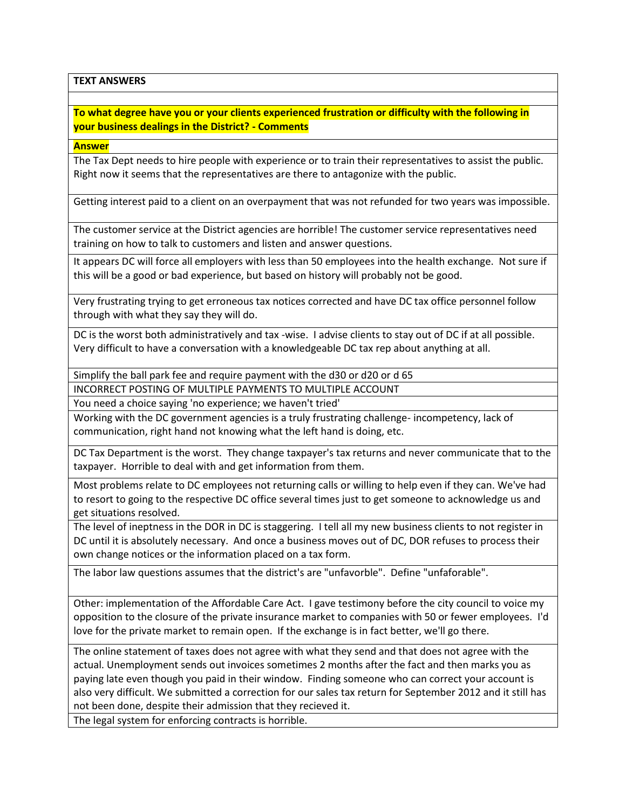**TEXT ANSWERS**

**To what degree have you or your clients experienced frustration or difficulty with the following in your business dealings in the District? - Comments**

**Answer**

The Tax Dept needs to hire people with experience or to train their representatives to assist the public. Right now it seems that the representatives are there to antagonize with the public.

Getting interest paid to a client on an overpayment that was not refunded for two years was impossible.

The customer service at the District agencies are horrible! The customer service representatives need training on how to talk to customers and listen and answer questions.

It appears DC will force all employers with less than 50 employees into the health exchange. Not sure if this will be a good or bad experience, but based on history will probably not be good.

Very frustrating trying to get erroneous tax notices corrected and have DC tax office personnel follow through with what they say they will do.

DC is the worst both administratively and tax -wise. I advise clients to stay out of DC if at all possible. Very difficult to have a conversation with a knowledgeable DC tax rep about anything at all.

Simplify the ball park fee and require payment with the d30 or d20 or d 65

INCORRECT POSTING OF MULTIPLE PAYMENTS TO MULTIPLE ACCOUNT

You need a choice saying 'no experience; we haven't tried'

Working with the DC government agencies is a truly frustrating challenge- incompetency, lack of communication, right hand not knowing what the left hand is doing, etc.

DC Tax Department is the worst. They change taxpayer's tax returns and never communicate that to the taxpayer. Horrible to deal with and get information from them.

Most problems relate to DC employees not returning calls or willing to help even if they can. We've had to resort to going to the respective DC office several times just to get someone to acknowledge us and get situations resolved.

The level of ineptness in the DOR in DC is staggering. I tell all my new business clients to not register in DC until it is absolutely necessary. And once a business moves out of DC, DOR refuses to process their own change notices or the information placed on a tax form.

The labor law questions assumes that the district's are "unfavorble". Define "unfaforable".

Other: implementation of the Affordable Care Act. I gave testimony before the city council to voice my opposition to the closure of the private insurance market to companies with 50 or fewer employees. I'd love for the private market to remain open. If the exchange is in fact better, we'll go there.

The online statement of taxes does not agree with what they send and that does not agree with the actual. Unemployment sends out invoices sometimes 2 months after the fact and then marks you as paying late even though you paid in their window. Finding someone who can correct your account is also very difficult. We submitted a correction for our sales tax return for September 2012 and it still has not been done, despite their admission that they recieved it.

The legal system for enforcing contracts is horrible.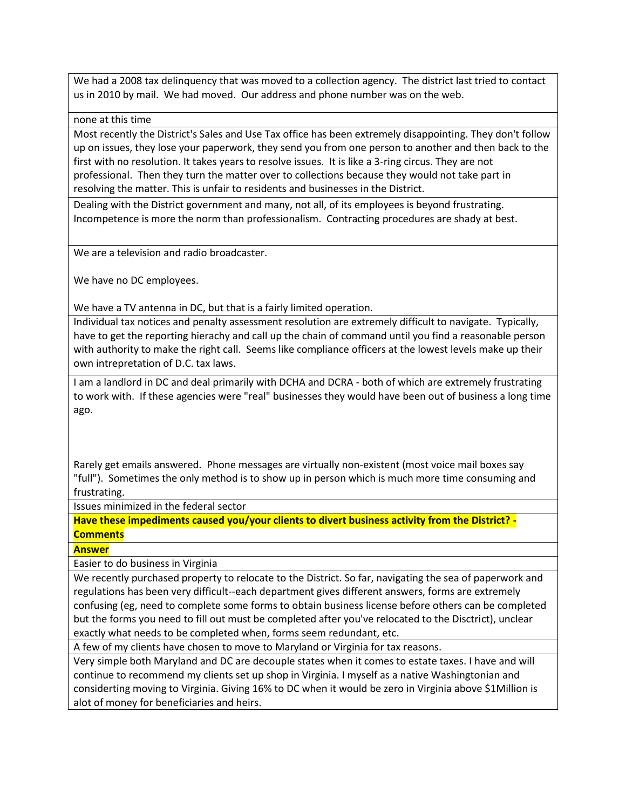We had a 2008 tax delinquency that was moved to a collection agency. The district last tried to contact us in 2010 by mail. We had moved. Our address and phone number was on the web.

none at this time

Most recently the District's Sales and Use Tax office has been extremely disappointing. They don't follow up on issues, they lose your paperwork, they send you from one person to another and then back to the first with no resolution. It takes years to resolve issues. It is like a 3-ring circus. They are not professional. Then they turn the matter over to collections because they would not take part in resolving the matter. This is unfair to residents and businesses in the District.

Dealing with the District government and many, not all, of its employees is beyond frustrating. Incompetence is more the norm than professionalism. Contracting procedures are shady at best.

We are a television and radio broadcaster.

We have no DC employees.

We have a TV antenna in DC, but that is a fairly limited operation.

Individual tax notices and penalty assessment resolution are extremely difficult to navigate. Typically, have to get the reporting hierachy and call up the chain of command until you find a reasonable person with authority to make the right call. Seems like compliance officers at the lowest levels make up their own intrepretation of D.C. tax laws.

I am a landlord in DC and deal primarily with DCHA and DCRA - both of which are extremely frustrating to work with. If these agencies were "real" businesses they would have been out of business a long time ago.

Rarely get emails answered. Phone messages are virtually non-existent (most voice mail boxes say "full"). Sometimes the only method is to show up in person which is much more time consuming and frustrating.

Issues minimized in the federal sector

**Have these impediments caused you/your clients to divert business activity from the District? - Comments**

**Answer**

Easier to do business in Virginia

We recently purchased property to relocate to the District. So far, navigating the sea of paperwork and regulations has been very difficult--each department gives different answers, forms are extremely confusing (eg, need to complete some forms to obtain business license before others can be completed but the forms you need to fill out must be completed after you've relocated to the Disctrict), unclear exactly what needs to be completed when, forms seem redundant, etc.

A few of my clients have chosen to move to Maryland or Virginia for tax reasons.

Very simple both Maryland and DC are decouple states when it comes to estate taxes. I have and will continue to recommend my clients set up shop in Virginia. I myself as a native Washingtonian and considerting moving to Virginia. Giving 16% to DC when it would be zero in Virginia above \$1Million is alot of money for beneficiaries and heirs.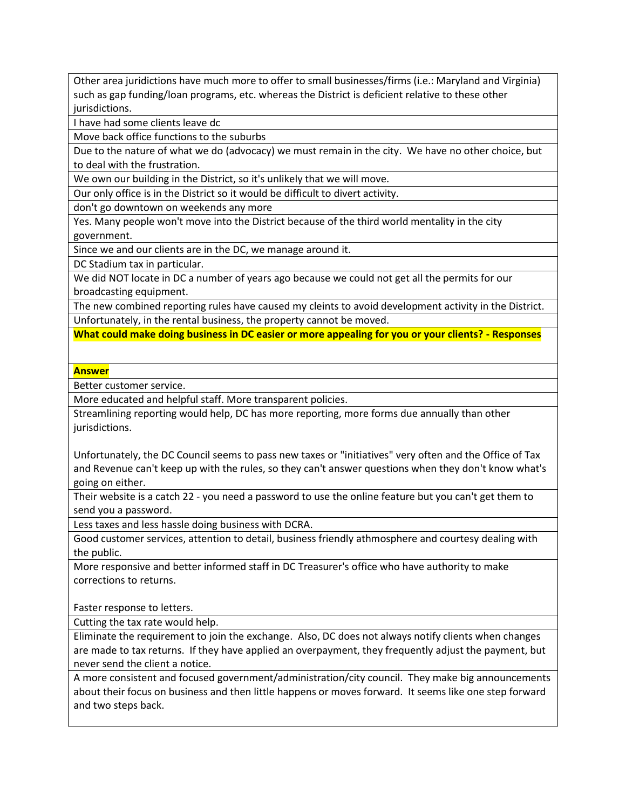Other area juridictions have much more to offer to small businesses/firms (i.e.: Maryland and Virginia) such as gap funding/loan programs, etc. whereas the District is deficient relative to these other jurisdictions.

I have had some clients leave dc

Move back office functions to the suburbs

Due to the nature of what we do (advocacy) we must remain in the city. We have no other choice, but to deal with the frustration.

We own our building in the District, so it's unlikely that we will move.

Our only office is in the District so it would be difficult to divert activity.

don't go downtown on weekends any more

Yes. Many people won't move into the District because of the third world mentality in the city government.

Since we and our clients are in the DC, we manage around it.

DC Stadium tax in particular.

We did NOT locate in DC a number of years ago because we could not get all the permits for our broadcasting equipment.

The new combined reporting rules have caused my cleints to avoid development activity in the District. Unfortunately, in the rental business, the property cannot be moved.

**What could make doing business in DC easier or more appealing for you or your clients? - Responses**

#### **Answer**

Better customer service.

More educated and helpful staff. More transparent policies.

Streamlining reporting would help, DC has more reporting, more forms due annually than other jurisdictions.

Unfortunately, the DC Council seems to pass new taxes or "initiatives" very often and the Office of Tax and Revenue can't keep up with the rules, so they can't answer questions when they don't know what's going on either.

Their website is a catch 22 - you need a password to use the online feature but you can't get them to send you a password.

Less taxes and less hassle doing business with DCRA.

Good customer services, attention to detail, business friendly athmosphere and courtesy dealing with the public.

More responsive and better informed staff in DC Treasurer's office who have authority to make corrections to returns.

Faster response to letters.

Cutting the tax rate would help.

Eliminate the requirement to join the exchange. Also, DC does not always notify clients when changes are made to tax returns. If they have applied an overpayment, they frequently adjust the payment, but never send the client a notice.

A more consistent and focused government/administration/city council. They make big announcements about their focus on business and then little happens or moves forward. It seems like one step forward and two steps back.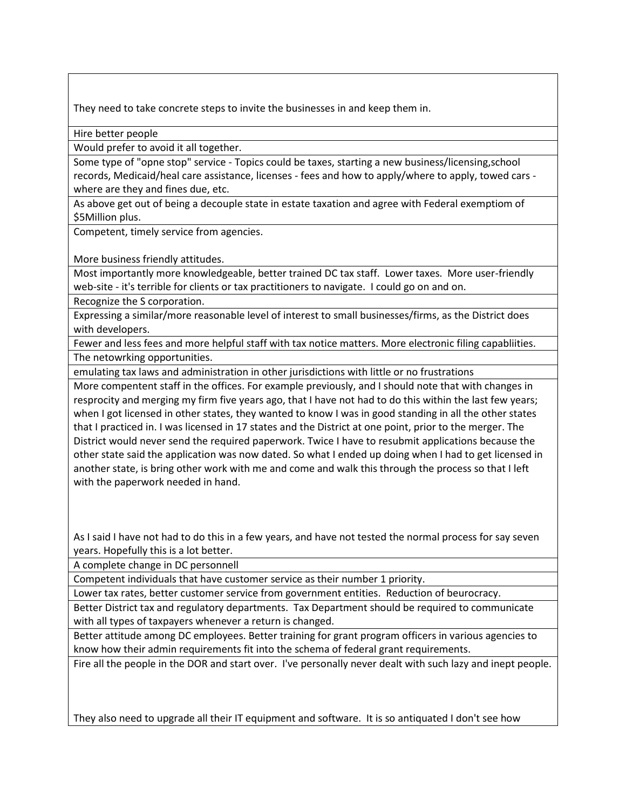They need to take concrete steps to invite the businesses in and keep them in.

Hire better people

Would prefer to avoid it all together.

Some type of "opne stop" service - Topics could be taxes, starting a new business/licensing,school records, Medicaid/heal care assistance, licenses - fees and how to apply/where to apply, towed cars where are they and fines due, etc.

As above get out of being a decouple state in estate taxation and agree with Federal exemptiom of \$5Million plus.

Competent, timely service from agencies.

More business friendly attitudes.

Most importantly more knowledgeable, better trained DC tax staff. Lower taxes. More user-friendly web-site - it's terrible for clients or tax practitioners to navigate. I could go on and on.

Recognize the S corporation.

Expressing a similar/more reasonable level of interest to small businesses/firms, as the District does with developers.

Fewer and less fees and more helpful staff with tax notice matters. More electronic filing capabliities. The netowrking opportunities.

emulating tax laws and administration in other jurisdictions with little or no frustrations

More compentent staff in the offices. For example previously, and I should note that with changes in resprocity and merging my firm five years ago, that I have not had to do this within the last few years; when I got licensed in other states, they wanted to know I was in good standing in all the other states that I practiced in. I was licensed in 17 states and the District at one point, prior to the merger. The District would never send the required paperwork. Twice I have to resubmit applications because the other state said the application was now dated. So what I ended up doing when I had to get licensed in another state, is bring other work with me and come and walk this through the process so that I left with the paperwork needed in hand.

As I said I have not had to do this in a few years, and have not tested the normal process for say seven years. Hopefully this is a lot better.

A complete change in DC personnell

Competent individuals that have customer service as their number 1 priority.

Lower tax rates, better customer service from government entities. Reduction of beurocracy.

Better District tax and regulatory departments. Tax Department should be required to communicate with all types of taxpayers whenever a return is changed.

Better attitude among DC employees. Better training for grant program officers in various agencies to know how their admin requirements fit into the schema of federal grant requirements.

Fire all the people in the DOR and start over. I've personally never dealt with such lazy and inept people.

They also need to upgrade all their IT equipment and software. It is so antiquated I don't see how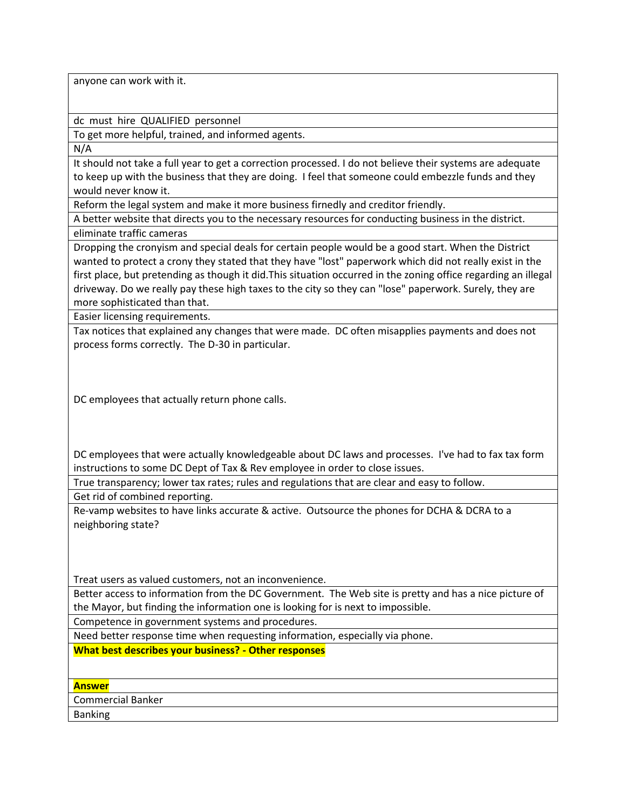anyone can work with it.

dc must hire QUALIFIED personnel

To get more helpful, trained, and informed agents.

N/A

It should not take a full year to get a correction processed. I do not believe their systems are adequate to keep up with the business that they are doing. I feel that someone could embezzle funds and they would never know it.

Reform the legal system and make it more business firnedly and creditor friendly.

A better website that directs you to the necessary resources for conducting business in the district. eliminate traffic cameras

Dropping the cronyism and special deals for certain people would be a good start. When the District wanted to protect a crony they stated that they have "lost" paperwork which did not really exist in the first place, but pretending as though it did.This situation occurred in the zoning office regarding an illegal driveway. Do we really pay these high taxes to the city so they can "lose" paperwork. Surely, they are more sophisticated than that.

Easier licensing requirements.

Tax notices that explained any changes that were made. DC often misapplies payments and does not process forms correctly. The D-30 in particular.

DC employees that actually return phone calls.

DC employees that were actually knowledgeable about DC laws and processes. I've had to fax tax form instructions to some DC Dept of Tax & Rev employee in order to close issues.

True transparency; lower tax rates; rules and regulations that are clear and easy to follow.

Get rid of combined reporting.

Re-vamp websites to have links accurate & active. Outsource the phones for DCHA & DCRA to a neighboring state?

Treat users as valued customers, not an inconvenience.

Better access to information from the DC Government. The Web site is pretty and has a nice picture of the Mayor, but finding the information one is looking for is next to impossible.

Competence in government systems and procedures.

Need better response time when requesting information, especially via phone.

**What best describes your business? - Other responses**

**Answer**

Commercial Banker

Banking